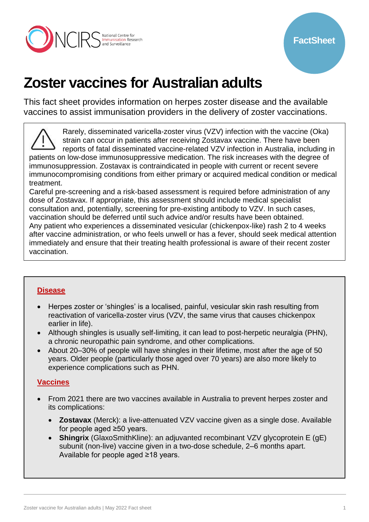

# **Zoster vaccines for Australian adults**

This fact sheet provides information on herpes zoster disease and the available vaccines to assist immunisation providers in the delivery of zoster vaccinations.

Rarely, disseminated varicella-zoster virus (VZV) infection with the vaccine (Oka) strain can occur in patients after receiving Zostavax vaccine. There have been reports of fatal disseminated vaccine-related VZV infection in Australia, including in patients on low-dose immunosuppressive medication. The risk increases with the degree of immunosuppression. Zostavax is contraindicated in people with current or recent severe immunocompromising conditions from either primary or acquired medical condition or medical treatment.

Careful pre-screening and a risk-based assessment is required before administration of any dose of Zostavax. If appropriate, this assessment should include medical specialist consultation and, potentially, screening for pre-existing antibody to VZV. In such cases, vaccination should be deferred until such advice and/or results have been obtained. Any patient who experiences a disseminated vesicular (chickenpox-like) rash 2 to 4 weeks after vaccine administration, or who feels unwell or has a fever, should seek medical attention immediately and ensure that their treating health professional is aware of their recent zoster vaccination.

#### **[Disease](#page-1-0)**

- Herpes zoster or 'shingles' is a localised, painful, vesicular skin rash resulting from reactivation of varicella-zoster virus (VZV, the same virus that causes chickenpox earlier in life).
- Although shingles is usually self-limiting, it can lead to post-herpetic neuralgia (PHN), a chronic neuropathic pain syndrome, and other complications.
- About 20–30% of people will have shingles in their lifetime, most after the age of 50 years. Older people (particularly those aged over 70 years) are also more likely to experience complications such as PHN.

### **[Vaccines](#page-8-0)**

- From 2021 there are two vaccines available in Australia to prevent herpes zoster and its complications:
	- **Zostavax** (Merck): a live-attenuated VZV vaccine given as a single dose. Available for people aged ≥50 years.
	- **Shingrix** (GlaxoSmithKline): an adjuvanted recombinant VZV glycoprotein E (gE) subunit (non-live) vaccine given in a two-dose schedule, 2–6 months apart. Available for people aged ≥18 years.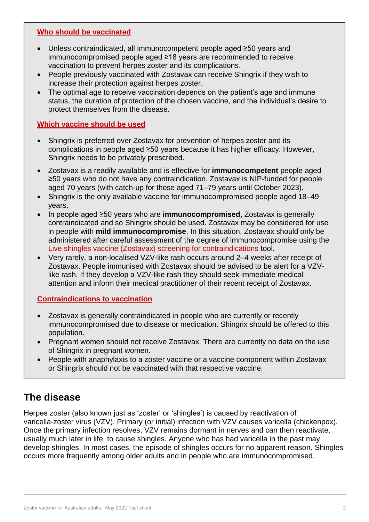#### **[Who should be vaccinated](#page-4-0)**

- Unless contraindicated, all immunocompetent people aged ≥50 years and immunocompromised people aged ≥18 years are recommended to receive vaccination to prevent herpes zoster and its complications.
- People previously vaccinated with Zostavax can receive Shingrix if they wish to increase their protection against herpes zoster.
- The optimal age to receive vaccination depends on the patient's age and immune status, the duration of protection of the chosen vaccine, and the individual's desire to protect themselves from the disease.

#### **[Which vaccine should be used](#page-3-0)**

- Shingrix is preferred over Zostavax for prevention of herpes zoster and its complications in people aged ≥50 years because it has higher efficacy. However, Shingrix needs to be privately prescribed.
- Zostavax is a readily available and is effective for **immunocompetent** people aged ≥50 years who do not have any contraindication. Zostavax is NIP-funded for people aged 70 years (with catch-up for those aged 71–79 years until October 2023).
- Shingrix is the only available vaccine for immunocompromised people aged 18–49 years.
- In people aged ≥50 years who are **immunocompromised**, Zostavax is generally contraindicated and so Shingrix should be used. Zostavax may be considered for use in people with **mild immunocompromise**. In this situation, Zostavax should only be administered after careful assessment of the degree of immunocompromise using the [Live shingles vaccine \(Zostavax\) screening for contraindications](https://immunisationhandbook.health.gov.au/resources/handbook-tables/table-live-shingles-vaccine-zostavax-screening-for-contraindications) tool.
- Very rarely, a non-localised VZV-like rash occurs around 2–4 weeks after receipt of Zostavax. People immunised with Zostavax should be advised to be alert for a VZVlike rash. If they develop a VZV-like rash they should seek immediate medical attention and inform their medical practitioner of their recent receipt of Zostavax.

#### **[Contraindications to vaccination](#page-7-0)**

- Zostavax is generally contraindicated in people who are currently or recently immunocompromised due to disease or medication. Shingrix should be offered to this population.
- Pregnant women should not receive Zostavax. There are currently no data on the use of Shingrix in pregnant women.
- People with anaphylaxis to a zoster vaccine or a vaccine component within Zostavax or Shingrix should not be vaccinated with that respective vaccine.

# <span id="page-1-0"></span>**The disease**

Herpes zoster (also known just as 'zoster' or 'shingles') is caused by reactivation of varicella-zoster virus (VZV). Primary (or initial) infection with VZV causes varicella (chickenpox). Once the primary infection resolves, VZV remains dormant in nerves and can then reactivate, usually much later in life, to cause shingles. Anyone who has had varicella in the past may develop shingles. In most cases, the episode of shingles occurs for no apparent reason. Shingles occurs more frequently among older adults and in people who are immunocompromised.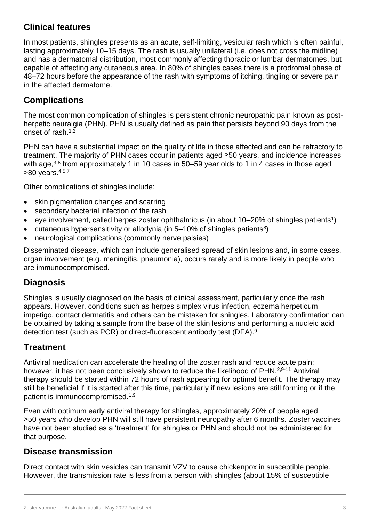# **Clinical features**

In most patients, shingles presents as an acute, self-limiting, vesicular rash which is often painful, lasting approximately 10–15 days. The rash is usually unilateral (i.e. does not cross the midline) and has a dermatomal distribution, most commonly affecting thoracic or lumbar dermatomes, but capable of affecting any cutaneous area. In 80% of shingles cases there is a prodromal phase of 48–72 hours before the appearance of the rash with symptoms of itching, tingling or severe pain in the affected dermatome.

# **Complications**

The most common complication of shingles is persistent chronic neuropathic pain known as postherpetic neuralgia (PHN). PHN is usually defined as pain that persists beyond 90 days from the onset of rash.<sup>1,2</sup>

PHN can have a substantial impact on the quality of life in those affected and can be refractory to treatment. The majority of PHN cases occur in patients aged ≥50 years, and incidence increases with age,<sup>3-6</sup> from approximately 1 in 10 cases in 50–59 year olds to 1 in 4 cases in those aged  $>80$  years.  $4,5,7$ 

Other complications of shingles include:

- skin pigmentation changes and scarring
- secondary bacterial infection of the rash
- eye involvement, called herpes zoster ophthalmicus (in about 10–20% of shingles patients<sup>1</sup>)
- cutaneous hypersensitivity or allodynia (in  $5-10\%$  of shingles patients<sup>8</sup>)
- neurological complications (commonly nerve palsies)

Disseminated disease, which can include generalised spread of skin lesions and, in some cases, organ involvement (e.g. meningitis, pneumonia), occurs rarely and is more likely in people who are immunocompromised.

# **Diagnosis**

Shingles is usually diagnosed on the basis of clinical assessment, particularly once the rash appears. However, conditions such as herpes simplex virus infection, eczema herpeticum, impetigo, contact dermatitis and others can be mistaken for shingles. Laboratory confirmation can be obtained by taking a sample from the base of the skin lesions and performing a nucleic acid detection test (such as PCR) or direct-fluorescent antibody test (DFA).<sup>9</sup>

### **Treatment**

Antiviral medication can accelerate the healing of the zoster rash and reduce acute pain; however, it has not been conclusively shown to reduce the likelihood of PHN.<sup>2,9-11</sup> Antiviral therapy should be started within 72 hours of rash appearing for optimal benefit. The therapy may still be beneficial if it is started after this time, particularly if new lesions are still forming or if the patient is immunocompromised.1,9

Even with optimum early antiviral therapy for shingles, approximately 20% of people aged ˃50 years who develop PHN will still have persistent neuropathy after 6 months. Zoster vaccines have not been studied as a 'treatment' for shingles or PHN and should not be administered for that purpose.

### **Disease transmission**

Direct contact with skin vesicles can transmit VZV to cause chickenpox in susceptible people. However, the transmission rate is less from a person with shingles (about 15% of susceptible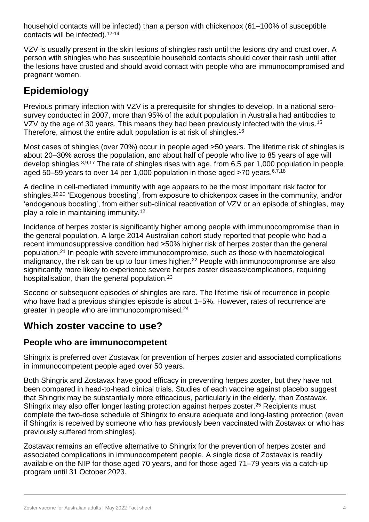household contacts will be infected) than a person with chickenpox (61–100% of susceptible contacts will be infected).12-14

VZV is usually present in the skin lesions of shingles rash until the lesions dry and crust over. A person with shingles who has susceptible household contacts should cover their rash until after the lesions have crusted and should avoid contact with people who are immunocompromised and pregnant women.

# <span id="page-3-1"></span>**Epidemiology**

Previous primary infection with VZV is a prerequisite for shingles to develop. In a national serosurvey conducted in 2007, more than 95% of the adult population in Australia had antibodies to VZV by the age of 30 years. This means they had been previously infected with the virus.<sup>15</sup> Therefore, almost the entire adult population is at risk of shingles.<sup>16</sup>

Most cases of shingles (over 70%) occur in people aged >50 years. The lifetime risk of shingles is about 20–30% across the population, and about half of people who live to 85 years of age will develop shingles.3,9,17 The rate of shingles rises with age, from 6.5 per 1,000 population in people aged 50–59 years to over 14 per 1,000 population in those aged >70 years.<sup>6,7,18</sup>

A decline in cell-mediated immunity with age appears to be the most important risk factor for shingles.<sup>19,20</sup> 'Exogenous boosting', from exposure to chickenpox cases in the community, and/or 'endogenous boosting', from either sub-clinical reactivation of VZV or an episode of shingles, may play a role in maintaining immunity. 12

Incidence of herpes zoster is significantly higher among people with immunocompromise than in the general population. A large 2014 Australian cohort study reported that people who had a recent immunosuppressive condition had  $>50\%$  higher risk of herpes zoster than the general population.<sup>21</sup> In people with severe immunocompromise, such as those with haematological malignancy, the risk can be up to four times higher.<sup>22</sup> People with immunocompromise are also significantly more likely to experience severe herpes zoster disease/complications, requiring hospitalisation, than the general population.<sup>23</sup>

Second or subsequent episodes of shingles are rare. The lifetime risk of recurrence in people who have had a previous shingles episode is about 1–5%. However, rates of recurrence are greater in people who are immunocompromised.<sup>24</sup>

# <span id="page-3-0"></span>**Which zoster vaccine to use?**

### **People who are immunocompetent**

Shingrix is preferred over Zostavax for prevention of herpes zoster and associated complications in immunocompetent people aged over 50 years.

Both Shingrix and Zostavax have good efficacy in preventing herpes zoster, but they have not been compared in head-to-head clinical trials. Studies of each vaccine against placebo suggest that Shingrix may be substantially more efficacious, particularly in the elderly, than Zostavax. Shingrix may also offer longer lasting protection against herpes zoster.<sup>25</sup> Recipients must complete the two-dose schedule of Shingrix to ensure adequate and long-lasting protection (even if Shingrix is received by someone who has previously been vaccinated with Zostavax or who has previously suffered from shingles).

Zostavax remains an effective alternative to Shingrix for the prevention of herpes zoster and associated complications in immunocompetent people. A single dose of Zostavax is readily available on the NIP for those aged 70 years, and for those aged 71–79 years via a catch-up program until 31 October 2023.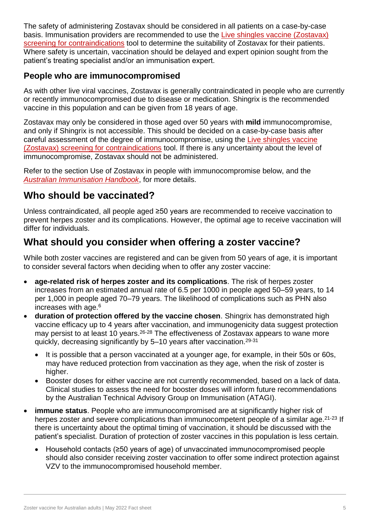The safety of administering Zostavax should be considered in all patients on a case-by-case basis. Immunisation providers are recommended to use the [Live shingles vaccine \(Zostavax\)](https://immunisationhandbook.health.gov.au/resources/handbook-tables/table-live-shingles-vaccine-zostavax-screening-for-contraindications)  [screening for contraindications](https://immunisationhandbook.health.gov.au/resources/handbook-tables/table-live-shingles-vaccine-zostavax-screening-for-contraindications) tool to determine the suitability of Zostavax for their patients. Where safety is uncertain, vaccination should be delayed and expert opinion sought from the patient's treating specialist and/or an immunisation expert.

### **People who are immunocompromised**

As with other live viral vaccines, Zostavax is generally contraindicated in people who are currently or recently immunocompromised due to disease or medication. Shingrix is the recommended vaccine in this population and can be given from 18 years of age.

Zostavax may only be considered in those aged over 50 years with **mild** immunocompromise, and only if Shingrix is not accessible. This should be decided on a case-by-case basis after careful assessment of the degree of immunocompromise, using the [Live shingles vaccine](https://immunisationhandbook.health.gov.au/resources/handbook-tables/table-live-shingles-vaccine-zostavax-screening-for-contraindications)  [\(Zostavax\) screening for contraindications](https://immunisationhandbook.health.gov.au/resources/handbook-tables/table-live-shingles-vaccine-zostavax-screening-for-contraindications) tool. If there is any uncertainty about the level of immunocompromise, Zostavax should not be administered.

Refer to the section [Use of Zostavax in people with immunocompromise](#page-5-0) below, and the *[Australian Immunisation Handbook](https://immunisationhandbook.health.gov.au/vaccine-preventable-diseases/zoster-herpes-zoster)*, for more details.

# <span id="page-4-0"></span>**Who should be vaccinated?**

Unless contraindicated, all people aged ≥50 years are recommended to receive vaccination to prevent herpes zoster and its complications. However, the optimal age to receive vaccination will differ for individuals.

# **What should you consider when offering a zoster vaccine?**

While both zoster vaccines are registered and can be given from 50 years of age, it is important to consider several factors when deciding when to offer any zoster vaccine:

- **age-related risk of herpes zoster and its complications**. The risk of herpes zoster increases from an estimated annual rate of 6.5 per 1000 in people aged 50–59 years, to 14 per 1,000 in people aged 70–79 years. The likelihood of complications such as PHN also increases with age.<sup>6</sup>
- **duration of protection offered by the vaccine chosen**. Shingrix has demonstrated high vaccine efficacy up to 4 years after vaccination, and immunogenicity data suggest protection may persist to at least 10 years.<sup>26-28</sup> The effectiveness of Zostavax appears to wane more quickly, decreasing significantly by 5–10 years after vaccination. 29-31
	- It is possible that a person vaccinated at a younger age, for example, in their 50s or 60s, may have reduced protection from vaccination as they age, when the risk of zoster is higher.
	- Booster doses for either vaccine are not currently recommended, based on a lack of data. Clinical studies to assess the need for booster doses will inform future recommendations by the Australian Technical Advisory Group on Immunisation (ATAGI).
- **immune status**. People who are immunocompromised are at significantly higher risk of herpes zoster and severe complications than immunocompetent people of a similar age.<sup>21-23</sup> If there is uncertainty about the optimal timing of vaccination, it should be discussed with the patient's specialist. Duration of protection of zoster vaccines in this population is less certain.
	- Household contacts (≥50 years of age) of unvaccinated immunocompromised people should also consider receiving zoster vaccination to offer some indirect protection against VZV to the immunocompromised household member.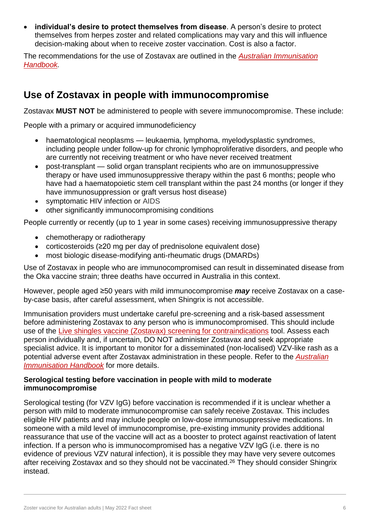**individual's desire to protect themselves from disease**. A person's desire to protect themselves from herpes zoster and related complications may vary and this will influence decision-making about when to receive zoster vaccination. Cost is also a factor.

The recommendations for the use of Zostavax are outlined in the *[Australian Immunisation](https://immunisationhandbook.health.gov.au/vaccine-preventable-diseases/zoster-herpes-zoster)  [Handbook.](https://immunisationhandbook.health.gov.au/vaccine-preventable-diseases/zoster-herpes-zoster)* 

# <span id="page-5-0"></span>**Use of Zostavax in people with immunocompromise**

Zostavax **MUST NOT** be administered to people with severe immunocompromise. These include:

People with a primary or acquired immunodeficiency

- haematological neoplasms leukaemia, lymphoma, myelodysplastic syndromes, including people under follow-up for chronic lymphoproliferative disorders, and people who are currently not receiving treatment or who have never received treatment
- post-transplant solid organ transplant recipients who are on immunosuppressive therapy or have used immunosuppressive therapy within the past 6 months; people who have had a haematopoietic stem cell transplant within the past 24 months (or longer if they have immunosuppression or graft versus host disease)
- symptomatic HIV infection or AIDS
- other significantly immunocompromising conditions

People currently or recently (up to 1 year in some cases) receiving immunosuppressive therapy

- chemotherapy or radiotherapy
- corticosteroids (≥20 mg per day of prednisolone equivalent dose)
- most biologic disease-modifying anti-rheumatic drugs (DMARDs)

Use of Zostavax in people who are immunocompromised can result in disseminated disease from the Oka vaccine strain; three deaths have occurred in Australia in this context.

However, people aged ≥50 years with mild immunocompromise *may* receive Zostavax on a caseby-case basis, after careful assessment, when Shingrix is not accessible.

Immunisation providers must undertake careful pre-screening and a risk-based assessment before administering Zostavax to any person who is immunocompromised. This should include use of the [Live shingles vaccine \(Zostavax\) screening for contraindications](https://immunisationhandbook.health.gov.au/resources/handbook-tables/table-live-shingles-vaccine-zostavax-screening-for-contraindications) tool. Assess each person individually and, if uncertain, DO NOT administer Zostavax and seek appropriate specialist advice. It is important to monitor for a disseminated (non-localised) VZV-like rash as a potential adverse event after Zostavax administration in these people. Refer to the *[Australian](https://immunisationhandbook.health.gov.au/vaccine-preventable-diseases/zoster-herpes-zoster)  [Immunisation Handbook](https://immunisationhandbook.health.gov.au/vaccine-preventable-diseases/zoster-herpes-zoster)* for more details.

#### **Serological testing before vaccination in people with mild to moderate immunocompromise**

Serological testing (for VZV IgG) before vaccination is recommended if it is unclear whether a person with mild to moderate immunocompromise can safely receive Zostavax. This includes eligible HIV patients and may include people on low-dose immunosuppressive medications. In someone with a mild level of immunocompromise, pre-existing immunity provides additional reassurance that use of the vaccine will act as a booster to protect against reactivation of latent infection. If a person who is immunocompromised has a negative VZV IgG (i.e. there is no evidence of previous VZV natural infection), it is possible they may have very severe outcomes after receiving Zostavax and so they should not be vaccinated.<sup>26</sup> They should consider Shingrix instead.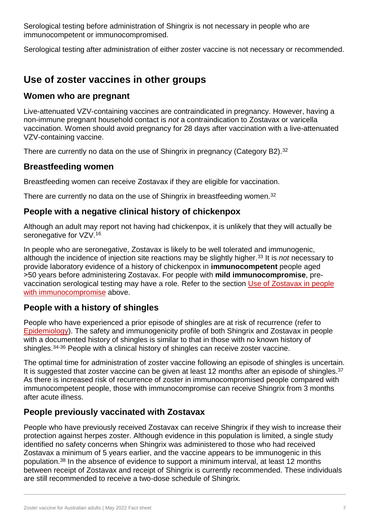Serological testing before administration of Shingrix is not necessary in people who are immunocompetent or immunocompromised.

Serological testing after administration of either zoster vaccine is not necessary or recommended.

# **Use of zoster vaccines in other groups**

### **Women who are pregnant**

Live-attenuated VZV-containing vaccines are contraindicated in pregnancy. However, having a non-immune pregnant household contact is *not* a contraindication to Zostavax or varicella vaccination. Women should avoid pregnancy for 28 days after vaccination with a live-attenuated VZV-containing vaccine.

There are currently no data on the use of Shingrix in pregnancy (Category B2).<sup>32</sup>

### **Breastfeeding women**

Breastfeeding women can receive Zostavax if they are eligible for vaccination.

There are currently no data on the use of Shingrix in breastfeeding women.<sup>32</sup>

### **People with a negative clinical history of chickenpox**

Although an adult may report not having had chickenpox, it is unlikely that they will actually be seronegative for VZV.<sup>16</sup>

In people who are seronegative, Zostavax is likely to be well tolerated and immunogenic, although the incidence of injection site reactions may be slightly higher.<sup>33</sup> It is *not* necessary to provide laboratory evidence of a history of chickenpox in **immunocompetent** people aged ˃50 years before administering Zostavax. For people with **mild immunocompromise**, prevaccination serological testing may have a role. Refer to the section [Use of Zostavax in people](#page-5-0)  [with immunocompromise](#page-5-0) above.

### **People with a history of shingles**

People who have experienced a prior episode of shingles are at risk of recurrence (refer to [Epidemiology\)](#page-3-1). The safety and immunogenicity profile of both Shingrix and Zostavax in people with a documented history of shingles is similar to that in those with no known history of shingles.34-36 People with a clinical history of shingles can receive zoster vaccine.

The optimal time for administration of zoster vaccine following an episode of shingles is uncertain. It is suggested that zoster vaccine can be given at least 12 months after an episode of shingles.<sup>37</sup> As there is increased risk of recurrence of zoster in immunocompromised people compared with immunocompetent people, those with immunocompromise can receive Shingrix from 3 months after acute illness.

### **People previously vaccinated with Zostavax**

People who have previously received Zostavax can receive Shingrix if they wish to increase their protection against herpes zoster. Although evidence in this population is limited, a single study identified no safety concerns when Shingrix was administered to those who had received Zostavax a minimum of 5 years earlier, and the vaccine appears to be immunogenic in this population.<sup>38</sup> In the absence of evidence to support a minimum interval, at least 12 months between receipt of Zostavax and receipt of Shingrix is currently recommended. These individuals are still recommended to receive a two-dose schedule of Shingrix.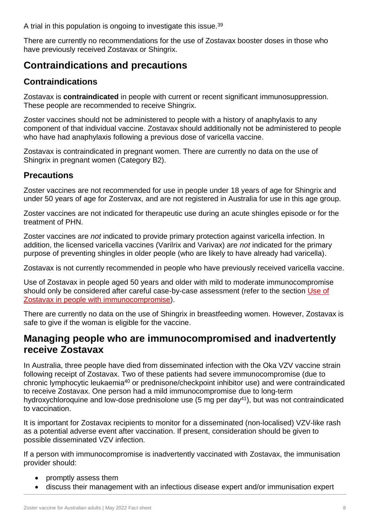A trial in this population is ongoing to investigate this issue. 39

There are currently no recommendations for the use of Zostavax booster doses in those who have previously received Zostavax or Shingrix.

# <span id="page-7-0"></span>**Contraindications and precautions**

### **Contraindications**

Zostavax is **contraindicated** in people with current or recent significant immunosuppression. These people are recommended to receive Shingrix.

Zoster vaccines should not be administered to people with a history of anaphylaxis to any component of that individual vaccine. Zostavax should additionally not be administered to people who have had anaphylaxis following a previous dose of varicella vaccine.

Zostavax is contraindicated in pregnant women. There are currently no data on the use of Shingrix in pregnant women (Category B2).

### **Precautions**

Zoster vaccines are not recommended for use in people under 18 years of age for Shingrix and under 50 years of age for Zostervax, and are not registered in Australia for use in this age group.

Zoster vaccines are not indicated for therapeutic use during an acute shingles episode or for the treatment of PHN.

Zoster vaccines are *not* indicated to provide primary protection against varicella infection. In addition, the licensed varicella vaccines (Varilrix and Varivax) are *not* indicated for the primary purpose of preventing shingles in older people (who are likely to have already had varicella).

Zostavax is not currently recommended in people who have previously received varicella vaccine.

Use of Zostavax in people aged 50 years and older with mild to moderate immunocompromise should only be considered after careful case-by-case assessment (refer to the section [Use of](#page-5-0)  [Zostavax in people with immunocompromise\)](#page-5-0).

There are currently no data on the use of Shingrix in breastfeeding women. However, Zostavax is safe to give if the woman is eligible for the vaccine.

# <span id="page-7-1"></span>**Managing people who are immunocompromised and inadvertently receive Zostavax**

In Australia, three people have died from disseminated infection with the Oka VZV vaccine strain following receipt of Zostavax. Two of these patients had severe immunocompromise (due to chronic lymphocytic leukaemia<sup>40</sup> or prednisone/checkpoint inhibitor use) and were contraindicated to receive Zostavax. One person had a mild immunocompromise due to long-term hydroxychloroquine and low-dose prednisolone use (5 mg per day<sup>41</sup>), but was not contraindicated to vaccination.

It is important for Zostavax recipients to monitor for a disseminated (non-localised) VZV-like rash as a potential adverse event after vaccination. If present, consideration should be given to possible disseminated VZV infection.

If a person with immunocompromise is inadvertently vaccinated with Zostavax, the immunisation provider should:

- promptly assess them
- discuss their management with an infectious disease expert and/or immunisation expert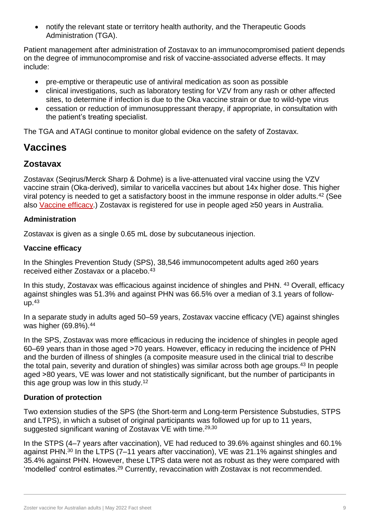notify the relevant state or territory health authority, and the Therapeutic Goods Administration (TGA).

Patient management after administration of Zostavax to an immunocompromised patient depends on the degree of immunocompromise and risk of vaccine-associated adverse effects. It may include:

- pre-emptive or therapeutic use of antiviral medication as soon as possible
- clinical investigations, such as laboratory testing for VZV from any rash or other affected sites, to determine if infection is due to the Oka vaccine strain or due to wild-type virus
- cessation or reduction of immunosuppressant therapy, if appropriate, in consultation with the patient's treating specialist.

The TGA and ATAGI continue to monitor global evidence on the safety of Zostavax.

# <span id="page-8-0"></span>**Vaccines**

### **Zostavax**

Zostavax (Seqirus/Merck Sharp & Dohme) is a live-attenuated viral vaccine using the VZV vaccine strain (Oka-derived), similar to varicella vaccines but about 14x higher dose. This higher viral potency is needed to get a satisfactory boost in the immune response in older adults.<sup>42</sup> (See also [Vaccine efficacy.](#page-8-1)) Zostavax is registered for use in people aged ≥50 years in Australia.

#### **Administration**

Zostavax is given as a single 0.65 mL dose by subcutaneous injection.

#### <span id="page-8-1"></span>**Vaccine efficacy**

In the Shingles Prevention Study (SPS), 38,546 immunocompetent adults aged ≥60 years received either Zostavax or a placebo.<sup>43</sup>

In this study, Zostavax was efficacious against incidence of shingles and PHN. 43 Overall, efficacy against shingles was 51.3% and against PHN was 66.5% over a median of 3.1 years of followup.<sup>43</sup>

In a separate study in adults aged 50–59 years, Zostavax vaccine efficacy (VE) against shingles was higher (69.8%).<sup>44</sup>

In the SPS, Zostavax was more efficacious in reducing the incidence of shingles in people aged 60–69 years than in those aged ˃70 years. However, efficacy in reducing the incidence of PHN and the burden of illness of shingles (a composite measure used in the clinical trial to describe the total pain, severity and duration of shingles) was similar across both age groups.<sup>43</sup> In people aged >80 years, VE was lower and not statistically significant, but the number of participants in this age group was low in this study. 12

#### **Duration of protection**

Two extension studies of the SPS (the Short-term and Long-term Persistence Substudies, STPS and LTPS), in which a subset of original participants was followed up for up to 11 years, suggested significant waning of Zostavax VE with time.29,30

In the STPS (4–7 years after vaccination), VE had reduced to 39.6% against shingles and 60.1% against PHN.<sup>30</sup> In the LTPS (7–11 years after vaccination), VE was 21.1% against shingles and 35.4% against PHN. However, these LTPS data were not as robust as they were compared with 'modelled' control estimates. <sup>29</sup> Currently, revaccination with Zostavax is not recommended.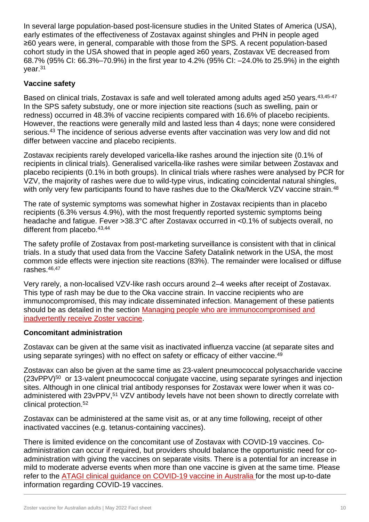In several large population-based post-licensure studies in the United States of America (USA), early estimates of the effectiveness of Zostavax against shingles and PHN in people aged ≥60 years were, in general, comparable with those from the SPS. A recent population-based cohort study in the USA showed that in people aged ≥60 years, Zostavax VE decreased from 68.7% (95% CI: 66.3%–70.9%) in the first year to 4.2% (95% CI: –24.0% to 25.9%) in the eighth year.<sup>31</sup>

#### **Vaccine safety**

Based on clinical trials, Zostavax is safe and well tolerated among adults aged ≥50 years.<sup>43,45-47</sup> In the SPS safety substudy, one or more injection site reactions (such as swelling, pain or redness) occurred in 48.3% of vaccine recipients compared with 16.6% of placebo recipients. However, the reactions were generally mild and lasted less than 4 days; none were considered serious.<sup>43</sup> The incidence of serious adverse events after vaccination was very low and did not differ between vaccine and placebo recipients.

Zostavax recipients rarely developed varicella-like rashes around the injection site (0.1% of recipients in clinical trials). Generalised varicella-like rashes were similar between Zostavax and placebo recipients (0.1% in both groups). In clinical trials where rashes were analysed by PCR for VZV, the majority of rashes were due to wild-type virus, indicating coincidental natural shingles, with only very few participants found to have rashes due to the Oka/Merck VZV vaccine strain.<sup>48</sup>

The rate of systemic symptoms was somewhat higher in Zostavax recipients than in placebo recipients (6.3% versus 4.9%), with the most frequently reported systemic symptoms being headache and fatigue. Fever >38.3°C after Zostavax occurred in <0.1% of subjects overall, no different from placebo.<sup>43,44</sup>

The safety profile of Zostavax from post-marketing surveillance is consistent with that in clinical trials. In a study that used data from the Vaccine Safety Datalink network in the USA, the most common side effects were injection site reactions (83%). The remainder were localised or diffuse rashes.46,47

Very rarely, a non-localised VZV-like rash occurs around 2–4 weeks after receipt of Zostavax. This type of rash may be due to the Oka vaccine strain. In vaccine recipients who are immunocompromised, this may indicate disseminated infection. Management of these patients should be as detailed in the section [Managing people who are immunocompromised and](#page-7-1)  [inadvertently receive Zoster vaccine.](#page-7-1)

#### **Concomitant administration**

Zostavax can be given at the same visit as inactivated influenza vaccine (at separate sites and using separate syringes) with no effect on safety or efficacy of either vaccine.<sup>49</sup>

Zostavax can also be given at the same time as 23-valent pneumococcal polysaccharide vaccine  $(23vPPV)<sup>50</sup>$  or 13-valent pneumococcal conjugate vaccine, using separate syringes and injection sites. Although in one clinical trial antibody responses for Zostavax were lower when it was coadministered with 23vPPV,<sup>51</sup> VZV antibody levels have not been shown to directly correlate with clinical protection.<sup>52</sup>

Zostavax can be administered at the same visit as, or at any time following, receipt of other inactivated vaccines (e.g. tetanus-containing vaccines).

There is limited evidence on the concomitant use of Zostavax with COVID-19 vaccines. Coadministration can occur if required, but providers should balance the opportunistic need for coadministration with giving the vaccines on separate visits. There is a potential for an increase in mild to moderate adverse events when more than one vaccine is given at the same time. Please refer to the ATAGI clinical guidance on [COVID-19 vaccine in Australia](https://www.health.gov.au/resources/publications/covid-19-vaccination-atagi-clinical-guidance-on-covid-19-vaccine-in-australia-in-2021) for the most up-to-date information regarding COVID-19 vaccines.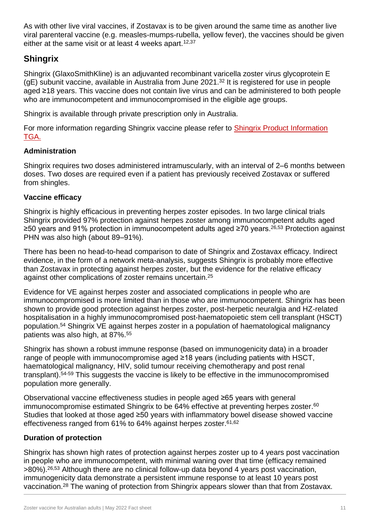As with other live viral vaccines, if Zostavax is to be given around the same time as another live viral parenteral vaccine (e.g. measles-mumps-rubella, yellow fever), the vaccines should be given either at the same visit or at least 4 weeks apart.<sup>12,37</sup>

## **Shingrix**

Shingrix (GlaxoSmithKline) is an adjuvanted recombinant varicella zoster virus glycoprotein E (gE) subunit vaccine, available in Australia from June 2021. <sup>32</sup> It is registered for use in people aged ≥18 years. This vaccine does not contain live virus and can be administered to both people who are immunocompetent and immunocompromised in the eligible age groups.

Shingrix is available through private prescription only in Australia.

For more information regarding Shingrix vaccine please refer to [Shingrix Product Information](https://www.tga.gov.au/sites/default/files/auspar-recombinant-varicella-zoster-virus-glycoprotein-e-antigen-181212-pi.pdf)  [TGA.](https://www.tga.gov.au/sites/default/files/auspar-recombinant-varicella-zoster-virus-glycoprotein-e-antigen-181212-pi.pdf)

#### **Administration**

Shingrix requires two doses administered intramuscularly, with an interval of 2–6 months between doses. Two doses are required even if a patient has previously received Zostavax or suffered from shingles.

#### **Vaccine efficacy**

Shingrix is highly efficacious in preventing herpes zoster episodes. In two large clinical trials Shingrix provided 97% protection against herpes zoster among immunocompetent adults aged ≥50 years and 91% protection in immunocompetent adults aged ≥70 years.<sup>26,53</sup> Protection against PHN was also high (about 89–91%).

There has been no head-to-head comparison to date of Shingrix and Zostavax efficacy. Indirect evidence, in the form of a network meta-analysis, suggests Shingrix is probably more effective than Zostavax in protecting against herpes zoster, but the evidence for the relative efficacy against other complications of zoster remains uncertain. 25

Evidence for VE against herpes zoster and associated complications in people who are immunocompromised is more limited than in those who are immunocompetent. Shingrix has been shown to provide good protection against herpes zoster, post-herpetic neuralgia and HZ-related hospitalisation in a highly immunocompromised post-haematopoietic stem cell transplant (HSCT) population.<sup>54</sup> Shingrix VE against herpes zoster in a population of haematological malignancy patients was also high, at 87%. 55

Shingrix has shown a robust immune response (based on immunogenicity data) in a broader range of people with immunocompromise aged ≥18 years (including patients with HSCT, haematological malignancy, HIV, solid tumour receiving chemotherapy and post renal transplant).<sup>54-59</sup> This suggests the vaccine is likely to be effective in the immunocompromised population more generally.

Observational vaccine effectiveness studies in people aged ≥65 years with general immunocompromise estimated Shingrix to be 64% effective at preventing herpes zoster. 60 Studies that looked at those aged ≥50 years with inflammatory bowel disease showed vaccine effectiveness ranged from 61% to 64% against herpes zoster. 61,62

#### **Duration of protection**

Shingrix has shown high rates of protection against herpes zoster up to 4 years post vaccination in people who are immunocompetent, with minimal waning over that time (efficacy remained >80%). 26,53 Although there are no clinical follow-up data beyond 4 years post vaccination, immunogenicity data demonstrate a persistent immune response to at least 10 years post vaccination.<sup>28</sup> The waning of protection from Shingrix appears slower than that from Zostavax.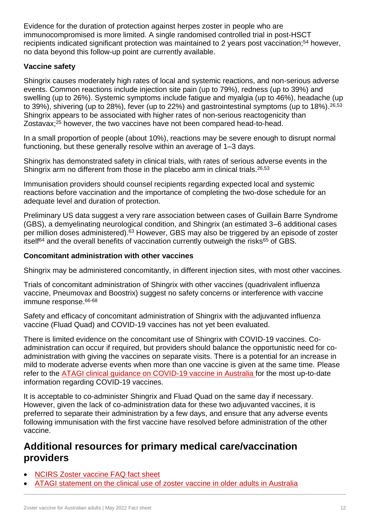Evidence for the duration of protection against herpes zoster in people who are immunocompromised is more limited. A single randomised controlled trial in post-HSCT recipients indicated significant protection was maintained to 2 years post vaccination;<sup>54</sup> however, no data beyond this follow-up point are currently available.

#### **Vaccine safety**

Shingrix causes moderately high rates of local and systemic reactions, and non-serious adverse events. Common reactions include injection site pain (up to 79%), redness (up to 39%) and swelling (up to 26%). Systemic symptoms include fatigue and myalgia (up to 46%), headache (up to 39%), shivering (up to 28%), fever (up to 22%) and gastrointestinal symptoms (up to 18%).26,53 Shingrix appears to be associated with higher rates of non-serious reactogenicity than Zostavax; <sup>25</sup> however, the two vaccines have not been compared head-to-head.

In a small proportion of people (about 10%), reactions may be severe enough to disrupt normal functioning, but these generally resolve within an average of 1–3 days.

Shingrix has demonstrated safety in clinical trials, with rates of serious adverse events in the Shingrix arm no different from those in the placebo arm in clinical trials.<sup>26,53</sup>

Immunisation providers should counsel recipients regarding expected local and systemic reactions before vaccination and the importance of completing the two-dose schedule for an adequate level and duration of protection.

Preliminary US data suggest a very rare association between cases of Guillain Barre Syndrome (GBS), a demyelinating neurological condition, and Shingrix (an estimated 3–6 additional cases per million doses administered).<sup>63</sup> However, GBS may also be triggered by an episode of zoster itself<sup>64</sup> and the overall benefits of vaccination currently outweigh the risks<sup>65</sup> of GBS.

#### **Concomitant administration with other vaccines**

Shingrix may be administered concomitantly, in different injection sites, with most other vaccines.

Trials of concomitant administration of Shingrix with other vaccines (quadrivalent influenza vaccine, Pneumovax and Boostrix) suggest no safety concerns or interference with vaccine immune response.<sup>66-68</sup>

Safety and efficacy of concomitant administration of Shingrix with the adjuvanted influenza vaccine (Fluad Quad) and COVID-19 vaccines has not yet been evaluated.

There is limited evidence on the concomitant use of Shingrix with COVID-19 vaccines. Coadministration can occur if required, but providers should balance the opportunistic need for coadministration with giving the vaccines on separate visits. There is a potential for an increase in mild to moderate adverse events when more than one vaccine is given at the same time. Please refer to the [ATAGI clinical guidance on COVID-19 vaccine in Australia](https://www.health.gov.au/resources/publications/covid-19-vaccination-atagi-clinical-guidance-on-covid-19-vaccine-in-australia-in-2021) for the most up-to-date information regarding COVID-19 vaccines.

It is acceptable to co-administer Shingrix and Fluad Quad on the same day if necessary. However, given the lack of co-administration data for these two adjuvanted vaccines, it is preferred to separate their administration by a few days, and ensure that any adverse events following immunisation with the first vaccine have resolved before administration of the other vaccine.

# **Additional resources for primary medical care/vaccination providers**

- [NCIRS Zoster vaccine FAQ fact sheet](http://ncirs.org.au/ncirs-fact-sheets-faqs/zoster-vaccine-faqs)
- [ATAGI statement on the clinical use of zoster vaccine in older adults in Australia](https://www.health.gov.au/resources/publications/statement-on-the-clinical-use-of-zoster-vaccine-in-older-adults-in-australia)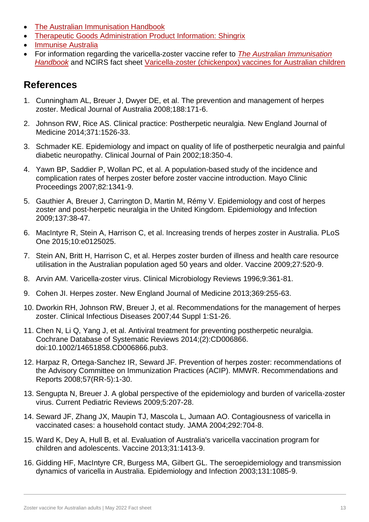- [The Australian Immunisation Handbook](https://immunisationhandbook.health.gov.au/)
- [Therapeutic Goods Administration Product Information: Shingrix](https://www.tga.gov.au/sites/default/files/auspar-recombinant-varicella-zoster-virus-glycoprotein-e-antigen-181212-pi.pdf)
- Immunise Australia
- For information regarding the varicella-zoster vaccine refer to *[The Australian Immunisation](https://immunisationhandbook.health.gov.au/vaccine-preventable-diseases/zoster-herpes-zoster)*  **[Handbook](https://immunisationhandbook.health.gov.au/vaccine-preventable-diseases/zoster-herpes-zoster)** and NCIRS fact sheet [Varicella-zoster \(chickenpox\) vaccines for Australian children](http://www.ncirs.edu.au/assets/provider_resources/fact-sheets/varicella-fact-sheet.pdf)

# **References**

- 1. Cunningham AL, Breuer J, Dwyer DE, et al. The prevention and management of herpes zoster. Medical Journal of Australia 2008;188:171-6.
- 2. Johnson RW, Rice AS. Clinical practice: Postherpetic neuralgia. New England Journal of Medicine 2014;371:1526-33.
- 3. Schmader KE. Epidemiology and impact on quality of life of postherpetic neuralgia and painful diabetic neuropathy. Clinical Journal of Pain 2002;18:350-4.
- 4. Yawn BP, Saddier P, Wollan PC, et al. A population-based study of the incidence and complication rates of herpes zoster before zoster vaccine introduction. Mayo Clinic Proceedings 2007;82:1341-9.
- 5. Gauthier A, Breuer J, Carrington D, Martin M, Rémy V. Epidemiology and cost of herpes zoster and post-herpetic neuralgia in the United Kingdom. Epidemiology and Infection 2009;137:38-47.
- 6. MacIntyre R, Stein A, Harrison C, et al. Increasing trends of herpes zoster in Australia. PLoS One 2015;10:e0125025.
- 7. Stein AN, Britt H, Harrison C, et al. Herpes zoster burden of illness and health care resource utilisation in the Australian population aged 50 years and older. Vaccine 2009;27:520-9.
- 8. Arvin AM. Varicella-zoster virus. Clinical Microbiology Reviews 1996;9:361-81.
- 9. Cohen JI. Herpes zoster. New England Journal of Medicine 2013;369:255-63.
- 10. Dworkin RH, Johnson RW, Breuer J, et al. Recommendations for the management of herpes zoster. Clinical Infectious Diseases 2007;44 Suppl 1:S1-26.
- 11. Chen N, Li Q, Yang J, et al. Antiviral treatment for preventing postherpetic neuralgia. Cochrane Database of Systematic Reviews 2014;(2):CD006866. doi:10.1002/14651858.CD006866.pub3.
- 12. Harpaz R, Ortega-Sanchez IR, Seward JF. Prevention of herpes zoster: recommendations of the Advisory Committee on Immunization Practices (ACIP). MMWR. Recommendations and Reports 2008;57(RR-5):1-30.
- 13. Sengupta N, Breuer J. A global perspective of the epidemiology and burden of varicella-zoster virus. Current Pediatric Reviews 2009;5:207-28.
- 14. Seward JF, Zhang JX, Maupin TJ, Mascola L, Jumaan AO. Contagiousness of varicella in vaccinated cases: a household contact study. JAMA 2004;292:704-8.
- 15. Ward K, Dey A, Hull B, et al. Evaluation of Australia's varicella vaccination program for children and adolescents. Vaccine 2013;31:1413-9.
- 16. Gidding HF, MacIntyre CR, Burgess MA, Gilbert GL. The seroepidemiology and transmission dynamics of varicella in Australia. Epidemiology and Infection 2003;131:1085-9.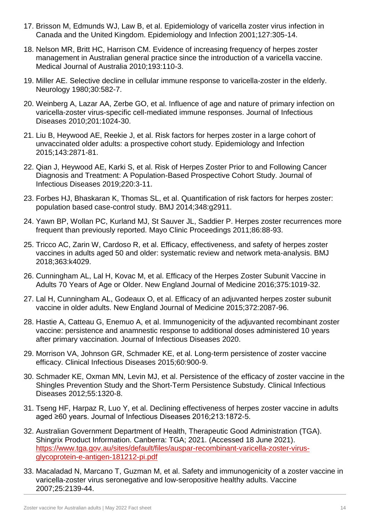- 17. Brisson M, Edmunds WJ, Law B, et al. Epidemiology of varicella zoster virus infection in Canada and the United Kingdom. Epidemiology and Infection 2001;127:305-14.
- 18. Nelson MR, Britt HC, Harrison CM. Evidence of increasing frequency of herpes zoster management in Australian general practice since the introduction of a varicella vaccine. Medical Journal of Australia 2010;193:110-3.
- 19. Miller AE. Selective decline in cellular immune response to varicella-zoster in the elderly. Neurology 1980;30:582-7.
- 20. Weinberg A, Lazar AA, Zerbe GO, et al. Influence of age and nature of primary infection on varicella-zoster virus-specific cell-mediated immune responses. Journal of Infectious Diseases 2010;201:1024-30.
- 21. Liu B, Heywood AE, Reekie J, et al. Risk factors for herpes zoster in a large cohort of unvaccinated older adults: a prospective cohort study. Epidemiology and Infection 2015;143:2871-81.
- 22. Qian J, Heywood AE, Karki S, et al. Risk of Herpes Zoster Prior to and Following Cancer Diagnosis and Treatment: A Population-Based Prospective Cohort Study. Journal of Infectious Diseases 2019;220:3-11.
- 23. Forbes HJ, Bhaskaran K, Thomas SL, et al. Quantification of risk factors for herpes zoster: population based case-control study. BMJ 2014;348:g2911.
- 24. Yawn BP, Wollan PC, Kurland MJ, St Sauver JL, Saddier P. Herpes zoster recurrences more frequent than previously reported. Mayo Clinic Proceedings 2011;86:88-93.
- 25. Tricco AC, Zarin W, Cardoso R, et al. Efficacy, effectiveness, and safety of herpes zoster vaccines in adults aged 50 and older: systematic review and network meta-analysis. BMJ 2018;363:k4029.
- 26. Cunningham AL, Lal H, Kovac M, et al. Efficacy of the Herpes Zoster Subunit Vaccine in Adults 70 Years of Age or Older. New England Journal of Medicine 2016;375:1019-32.
- 27. Lal H, Cunningham AL, Godeaux O, et al. Efficacy of an adjuvanted herpes zoster subunit vaccine in older adults. New England Journal of Medicine 2015;372:2087-96.
- 28. Hastie A, Catteau G, Enemuo A, et al. Immunogenicity of the adjuvanted recombinant zoster vaccine: persistence and anamnestic response to additional doses administered 10 years after primary vaccination. Journal of Infectious Diseases 2020.
- 29. Morrison VA, Johnson GR, Schmader KE, et al. Long-term persistence of zoster vaccine efficacy. Clinical Infectious Diseases 2015;60:900-9.
- 30. Schmader KE, Oxman MN, Levin MJ, et al. Persistence of the efficacy of zoster vaccine in the Shingles Prevention Study and the Short-Term Persistence Substudy. Clinical Infectious Diseases 2012;55:1320-8.
- 31. Tseng HF, Harpaz R, Luo Y, et al. Declining effectiveness of herpes zoster vaccine in adults aged ≥60 years. Journal of Infectious Diseases 2016;213:1872-5.
- 32. Australian Government Department of Health, Therapeutic Good Administration (TGA). Shingrix Product Information. Canberra: TGA; 2021. (Accessed 18 June 2021). [https://www.tga.gov.au/sites/default/files/auspar-recombinant-varicella-zoster-virus](https://www.tga.gov.au/sites/default/files/auspar-recombinant-varicella-zoster-virus-glycoprotein-e-antigen-181212-pi.pdf)[glycoprotein-e-antigen-181212-pi.pdf](https://www.tga.gov.au/sites/default/files/auspar-recombinant-varicella-zoster-virus-glycoprotein-e-antigen-181212-pi.pdf)
- 33. Macaladad N, Marcano T, Guzman M, et al. Safety and immunogenicity of a zoster vaccine in varicella-zoster virus seronegative and low-seropositive healthy adults. Vaccine 2007;25:2139-44.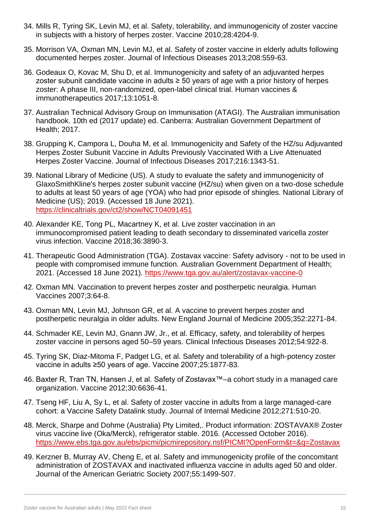- 34. Mills R, Tyring SK, Levin MJ, et al. Safety, tolerability, and immunogenicity of zoster vaccine in subjects with a history of herpes zoster. Vaccine 2010;28:4204-9.
- 35. Morrison VA, Oxman MN, Levin MJ, et al. Safety of zoster vaccine in elderly adults following documented herpes zoster. Journal of Infectious Diseases 2013;208:559-63.
- 36. Godeaux O, Kovac M, Shu D, et al. Immunogenicity and safety of an adjuvanted herpes zoster subunit candidate vaccine in adults  $\geq$  50 years of age with a prior history of herpes zoster: A phase III, non-randomized, open-label clinical trial. Human vaccines & immunotherapeutics 2017;13:1051-8.
- 37. Australian Technical Advisory Group on Immunisation (ATAGI). The Australian immunisation handbook. 10th ed (2017 update) ed. Canberra: Australian Government Department of Health; 2017.
- 38. Grupping K, Campora L, Douha M, et al. Immunogenicity and Safety of the HZ/su Adjuvanted Herpes Zoster Subunit Vaccine in Adults Previously Vaccinated With a Live Attenuated Herpes Zoster Vaccine. Journal of Infectious Diseases 2017;216:1343-51.
- 39. National Library of Medicine (US). A study to evaluate the safety and immunogenicity of GlaxoSmithKline's herpes zoster subunit vaccine (HZ/su) when given on a two-dose schedule to adults at least 50 years of age (YOA) who had prior episode of shingles. National Library of Medicine (US); 2019. (Accessed 18 June 2021). <https://clinicaltrials.gov/ct2/show/NCT04091451>
- 40. Alexander KE, Tong PL, Macartney K, et al. Live zoster vaccination in an immunocompromised patient leading to death secondary to disseminated varicella zoster virus infection. Vaccine 2018;36:3890-3.
- 41. Therapeutic Good Administration (TGA). Zostavax vaccine: Safety advisory not to be used in people with compromised immune function. Australian Government Department of Health; 2021. (Accessed 18 June 2021).<https://www.tga.gov.au/alert/zostavax-vaccine-0>
- 42. Oxman MN. Vaccination to prevent herpes zoster and postherpetic neuralgia. Human Vaccines 2007;3:64-8.
- 43. Oxman MN, Levin MJ, Johnson GR, et al. A vaccine to prevent herpes zoster and postherpetic neuralgia in older adults. New England Journal of Medicine 2005;352:2271-84.
- 44. Schmader KE, Levin MJ, Gnann JW, Jr., et al. Efficacy, safety, and tolerability of herpes zoster vaccine in persons aged 50–59 years. Clinical Infectious Diseases 2012;54:922-8.
- 45. Tyring SK, Diaz-Mitoma F, Padget LG, et al. Safety and tolerability of a high-potency zoster vaccine in adults ≥50 years of age. Vaccine 2007;25:1877-83.
- 46. Baxter R, Tran TN, Hansen J, et al. Safety of Zostavax™–a cohort study in a managed care organization. Vaccine 2012;30:6636-41.
- 47. Tseng HF, Liu A, Sy L, et al. Safety of zoster vaccine in adults from a large managed-care cohort: a Vaccine Safety Datalink study. Journal of Internal Medicine 2012;271:510-20.
- 48. Merck, Sharpe and Dohme (Australia) Pty Limited,. Product information: ZOSTAVAX® Zoster virus vaccine live (Oka/Merck), refrigerator stable. 2016. (Accessed October 2016). <https://www.ebs.tga.gov.au/ebs/picmi/picmirepository.nsf/PICMI?OpenForm&t=&q=Zostavax>
- 49. Kerzner B, Murray AV, Cheng E, et al. Safety and immunogenicity profile of the concomitant administration of ZOSTAVAX and inactivated influenza vaccine in adults aged 50 and older. Journal of the American Geriatric Society 2007;55:1499-507.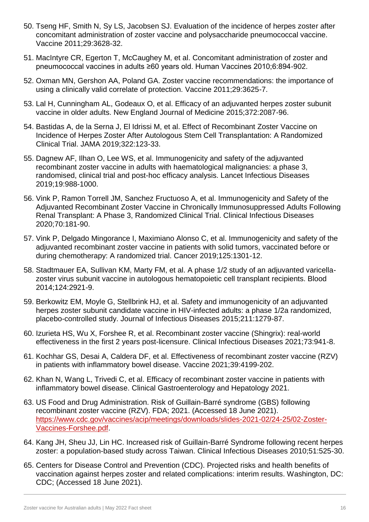- 50. Tseng HF, Smith N, Sy LS, Jacobsen SJ. Evaluation of the incidence of herpes zoster after concomitant administration of zoster vaccine and polysaccharide pneumococcal vaccine. Vaccine 2011;29:3628-32.
- 51. MacIntyre CR, Egerton T, McCaughey M, et al. Concomitant administration of zoster and pneumococcal vaccines in adults ≥60 years old. Human Vaccines 2010;6:894-902.
- 52. Oxman MN, Gershon AA, Poland GA. Zoster vaccine recommendations: the importance of using a clinically valid correlate of protection. Vaccine 2011;29:3625-7.
- 53. Lal H, Cunningham AL, Godeaux O, et al. Efficacy of an adjuvanted herpes zoster subunit vaccine in older adults. New England Journal of Medicine 2015;372:2087-96.
- 54. Bastidas A, de la Serna J, El Idrissi M, et al. Effect of Recombinant Zoster Vaccine on Incidence of Herpes Zoster After Autologous Stem Cell Transplantation: A Randomized Clinical Trial. JAMA 2019;322:123-33.
- 55. Dagnew AF, Ilhan O, Lee WS, et al. Immunogenicity and safety of the adjuvanted recombinant zoster vaccine in adults with haematological malignancies: a phase 3, randomised, clinical trial and post-hoc efficacy analysis. Lancet Infectious Diseases 2019;19:988-1000.
- 56. Vink P, Ramon Torrell JM, Sanchez Fructuoso A, et al. Immunogenicity and Safety of the Adjuvanted Recombinant Zoster Vaccine in Chronically Immunosuppressed Adults Following Renal Transplant: A Phase 3, Randomized Clinical Trial. Clinical Infectious Diseases 2020;70:181-90.
- 57. Vink P, Delgado Mingorance I, Maximiano Alonso C, et al. Immunogenicity and safety of the adjuvanted recombinant zoster vaccine in patients with solid tumors, vaccinated before or during chemotherapy: A randomized trial. Cancer 2019;125:1301-12.
- 58. Stadtmauer EA, Sullivan KM, Marty FM, et al. A phase 1/2 study of an adjuvanted varicellazoster virus subunit vaccine in autologous hematopoietic cell transplant recipients. Blood 2014;124:2921-9.
- 59. Berkowitz EM, Moyle G, Stellbrink HJ, et al. Safety and immunogenicity of an adjuvanted herpes zoster subunit candidate vaccine in HIV-infected adults: a phase 1/2a randomized, placebo-controlled study. Journal of Infectious Diseases 2015;211:1279-87.
- 60. Izurieta HS, Wu X, Forshee R, et al. Recombinant zoster vaccine (Shingrix): real-world effectiveness in the first 2 years post-licensure. Clinical Infectious Diseases 2021;73:941-8.
- 61. Kochhar GS, Desai A, Caldera DF, et al. Effectiveness of recombinant zoster vaccine (RZV) in patients with inflammatory bowel disease. Vaccine 2021;39:4199-202.
- 62. Khan N, Wang L, Trivedi C, et al. Efficacy of recombinant zoster vaccine in patients with inflammatory bowel disease. Clinical Gastroenterology and Hepatology 2021.
- 63. US Food and Drug Administration. Risk of Guillain-Barré syndrome (GBS) following recombinant zoster vaccine (RZV). FDA; 2021. (Accessed 18 June 2021). [https://www.cdc.gov/vaccines/acip/meetings/downloads/slides-2021-02/24-25/02-Zoster-](https://www.cdc.gov/vaccines/acip/meetings/downloads/slides-2021-02/24-25/02-Zoster-Vaccines-Forshee.pdf)[Vaccines-Forshee.pdf.](https://www.cdc.gov/vaccines/acip/meetings/downloads/slides-2021-02/24-25/02-Zoster-Vaccines-Forshee.pdf)
- 64. Kang JH, Sheu JJ, Lin HC. Increased risk of Guillain-Barré Syndrome following recent herpes zoster: a population-based study across Taiwan. Clinical Infectious Diseases 2010;51:525-30.
- 65. Centers for Disease Control and Prevention (CDC). Projected risks and health benefits of vaccination against herpes zoster and related complications: interim results. Washington, DC: CDC; (Accessed 18 June 2021).